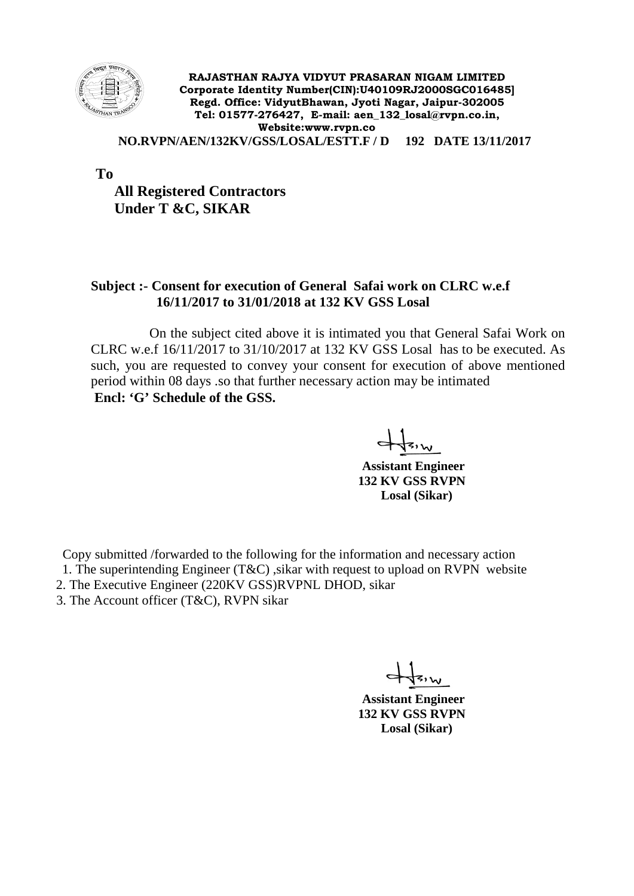

**RAJASTHAN RAJYA VIDYUT PRASARAN NIGAM LIMITED Corporate Identity Number(CIN):U40109RJ2000SGC016485] Regd. Office: VidyutBhawan, Jyoti Nagar, Jaipur-302005 Tel: 01577-276427, E-mail: aen\_132\_losal@rvpn.co.in, Website:www.rvpn.co**

 **NO.RVPN/AEN/132KV/GSS/LOSAL/ESTT.F / D 192 DATE 13/11/2017**

**To** 

 **All Registered Contractors Under T &C, SIKAR**

## **Subject :- Consent for execution of General Safai work on CLRC w.e.f 16/11/2017 to 31/01/2018 at 132 KV GSS Losal**

 On the subject cited above it is intimated you that General Safai Work on CLRC w.e.f 16/11/2017 to 31/10/2017 at 132 KV GSS Losal has to be executed. As such, you are requested to convey your consent for execution of above mentioned period within 08 days .so that further necessary action may be intimated **Encl: 'G' Schedule of the GSS.**

 **Assistant Engineer 132 KV GSS RVPN Losal (Sikar)**

Copy submitted /forwarded to the following for the information and necessary action

- 1. The superintending Engineer (T&C), sikar with request to upload on RVPN website
- 2. The Executive Engineer (220KV GSS)RVPNL DHOD, sikar
- 3. The Account officer (T&C), RVPN sikar

 **Assistant Engineer 132 KV GSS RVPN Losal (Sikar)**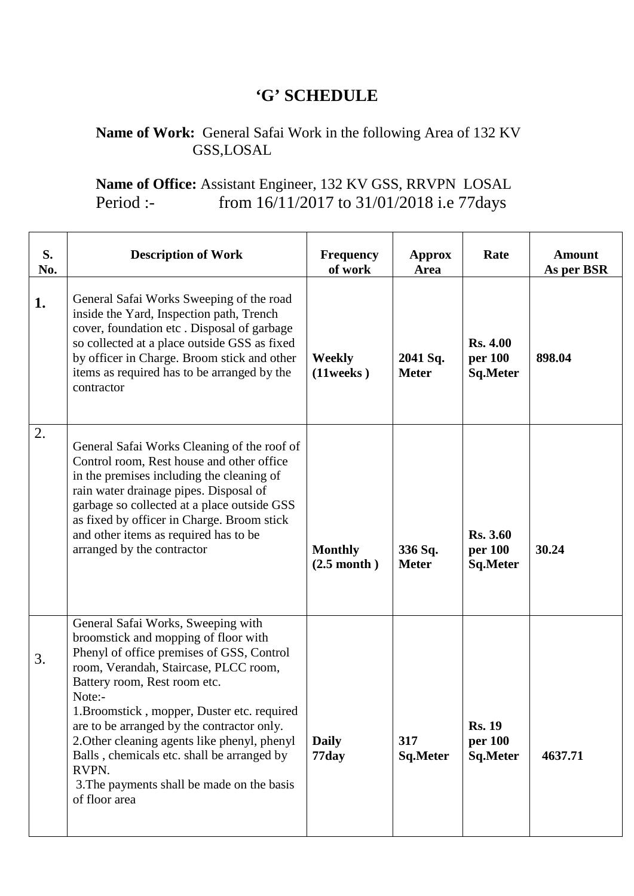## **'G' SCHEDULE**

## **Name of Work:** General Safai Work in the following Area of 132 KV GSS,LOSAL

## **Name of Office:** Assistant Engineer, 132 KV GSS, RRVPN LOSAL Period :- from 16/11/2017 to 31/01/2018 i.e 77days

| S.<br>No. | <b>Description of Work</b>                                                                                                                                                                                                                                                                                                                                                                                                                                                    | <b>Frequency</b><br>of work             | Approx<br>Area           | Rate                                          | <b>Amount</b><br>As per BSR |
|-----------|-------------------------------------------------------------------------------------------------------------------------------------------------------------------------------------------------------------------------------------------------------------------------------------------------------------------------------------------------------------------------------------------------------------------------------------------------------------------------------|-----------------------------------------|--------------------------|-----------------------------------------------|-----------------------------|
| 1.        | General Safai Works Sweeping of the road<br>inside the Yard, Inspection path, Trench<br>cover, foundation etc. Disposal of garbage<br>so collected at a place outside GSS as fixed<br>by officer in Charge. Broom stick and other<br>items as required has to be arranged by the<br>contractor                                                                                                                                                                                | Weekly<br>$(11$ weeks $)$               | 2041 Sq.<br><b>Meter</b> | <b>Rs. 4.00</b><br>per 100<br><b>Sq.Meter</b> | 898.04                      |
| 2.        | General Safai Works Cleaning of the roof of<br>Control room, Rest house and other office<br>in the premises including the cleaning of<br>rain water drainage pipes. Disposal of<br>garbage so collected at a place outside GSS<br>as fixed by officer in Charge. Broom stick<br>and other items as required has to be<br>arranged by the contractor                                                                                                                           | <b>Monthly</b><br>$(2.5 \text{ month})$ | 336 Sq.<br><b>Meter</b>  | <b>Rs. 3.60</b><br>per 100<br>Sq.Meter        | 30.24                       |
| 3.        | General Safai Works, Sweeping with<br>broomstick and mopping of floor with<br>Phenyl of office premises of GSS, Control<br>room, Verandah, Staircase, PLCC room,<br>Battery room, Rest room etc.<br>Note:-<br>1. Broomstick, mopper, Duster etc. required<br>are to be arranged by the contractor only.<br>2. Other cleaning agents like phenyl, phenyl<br>Balls, chemicals etc. shall be arranged by<br>RVPN.<br>3. The payments shall be made on the basis<br>of floor area | <b>Daily</b><br>77day                   | 317<br><b>Sq.Meter</b>   | <b>Rs. 19</b><br>per 100<br><b>Sq.Meter</b>   | 4637.71                     |